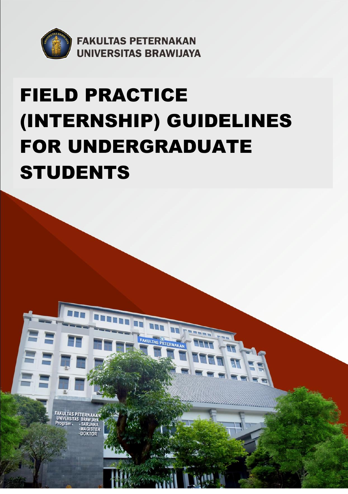

**FAKULTAS PETERNAKAN UNIVERSITAS BRAWLIAYA** 

COVID-19 PANDEMIC

# **BUCK PEDICIPAL LAPORAN PRAKTEK KERJA LAPANG (PKL) DI**  (INTERNSHIP) GUIDELINES **FOR UNDERGRADUATE** FIELD PRACTICE STUDENTS

**FAKULTAS PETERNAKAN AND THE REAL PROPERTY OF THE REAL PROPERTY.** 

**UNIVERSITAS BRAGUE BRAGUE BRAGUE BRAGUE BRAGUE BRAGUE BRAGUE BRAGUE BRAGUE BRAGUE BRAGUE BRAGUE BRAGUE BRAGUE** 

J. J. Veteran Malang 65145 Telecommunication of the U.S. Contract of the U.S. Contract of the U.S. 231611 PES. (034) 5847272727 Email: facetub@brawijaya.ac.id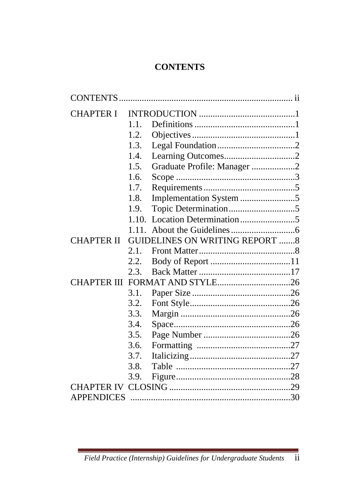#### **CONTENTS**

<span id="page-1-0"></span>

| <b>CHAPTER I</b>  |       |                                       |  |
|-------------------|-------|---------------------------------------|--|
|                   | 1.1.  |                                       |  |
|                   | 1.2.  |                                       |  |
|                   | 1.3.  |                                       |  |
|                   | 1.4.  |                                       |  |
|                   | 1.5.  | Graduate Profile: Manager 2           |  |
|                   | 1.6.  |                                       |  |
|                   | 1.7.  |                                       |  |
|                   | 1.8.  |                                       |  |
|                   | 1.9.  |                                       |  |
|                   | 1.10. |                                       |  |
|                   | 1.11. |                                       |  |
| <b>CHAPTER II</b> |       | <b>GUIDELINES ON WRITING REPORT 8</b> |  |
|                   | 2.1.  |                                       |  |
|                   | 2.2.  |                                       |  |
|                   | 2.3.  |                                       |  |
|                   |       | CHAPTER III FORMAT AND STYLE26        |  |
|                   | 3.1.  |                                       |  |
|                   | 3.2.  |                                       |  |
|                   | 3.3.  |                                       |  |
|                   | 3.4.  |                                       |  |
|                   | 3.5.  |                                       |  |
|                   | 3.6.  |                                       |  |
|                   | 3.7.  |                                       |  |
|                   | 3.8.  |                                       |  |
|                   | 3.9.  |                                       |  |
|                   |       |                                       |  |
| <b>APPENDICES</b> |       |                                       |  |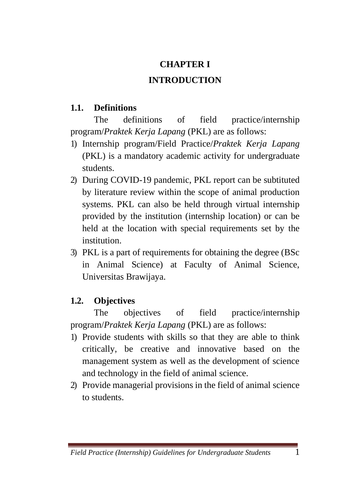## **CHAPTER I INTRODUCTION**

#### <span id="page-2-0"></span>**1.1. Definitions**

The definitions of field practice/internship program/*Praktek Kerja Lapang* (PKL) are as follows:

- 1) Internship program/Field Practice/*Praktek Kerja Lapang* (PKL) is a mandatory academic activity for undergraduate students.
- 2) During COVID-19 pandemic, PKL report can be subtituted by literature review within the scope of animal production systems. PKL can also be held through virtual internship provided by the institution (internship location) or can be held at the location with special requirements set by the institution.
- 3) PKL is a part of requirements for obtaining the degree (BSc in Animal Science) at Faculty of Animal Science, Universitas Brawijaya.

#### **1.2. Objectives**

The objectives of field practice/internship program/*Praktek Kerja Lapang* (PKL) are as follows:

- 1) Provide students with skills so that they are able to think critically, be creative and innovative based on the management system as well as the development of science and technology in the field of animal science.
- 2) Provide managerial provisions in the field of animal science to students.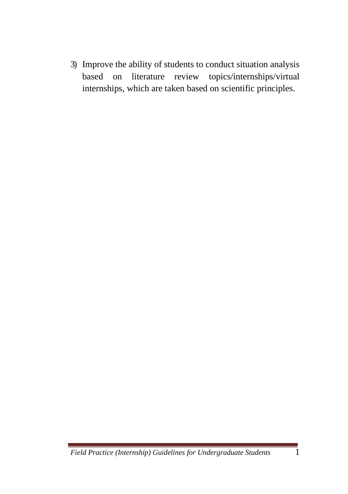3) Improve the ability of students to conduct situation analysis based on literature review topics/internships/virtual internships, which are taken based on scientific principles.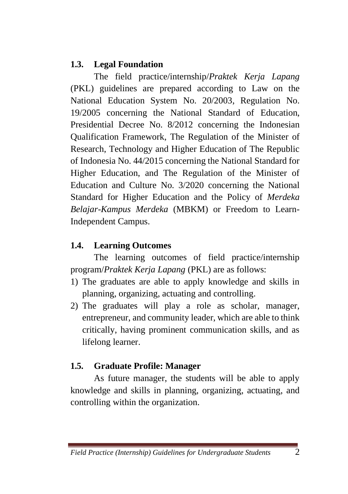#### **1.3. Legal Foundation**

The field practice/internship/*Praktek Kerja Lapang* (PKL) guidelines are prepared according to Law on the National Education System No. 20/2003, Regulation No. 19/2005 concerning the National Standard of Education, Presidential Decree No. 8/2012 concerning the Indonesian Qualification Framework, The Regulation of the Minister of Research, Technology and Higher Education of The Republic of Indonesia No. 44/2015 concerning the National Standard for Higher Education, and The Regulation of the Minister of Education and Culture No. 3/2020 concerning the National Standard for Higher Education and the Policy of *Merdeka Belajar*-*Kampus Merdeka* (MBKM) or Freedom to Learn-Independent Campus.

#### **1.4. Learning Outcomes**

The learning outcomes of field practice/internship program/*Praktek Kerja Lapang* (PKL) are as follows:

- 1) The graduates are able to apply knowledge and skills in planning, organizing, actuating and controlling.
- 2) The graduates will play a role as scholar, manager, entrepreneur, and community leader, which are able to think critically, having prominent communication skills, and as lifelong learner.

### **1.5. Graduate Profile: Manager**

As future manager, the students will be able to apply knowledge and skills in planning, organizing, actuating, and controlling within the organization.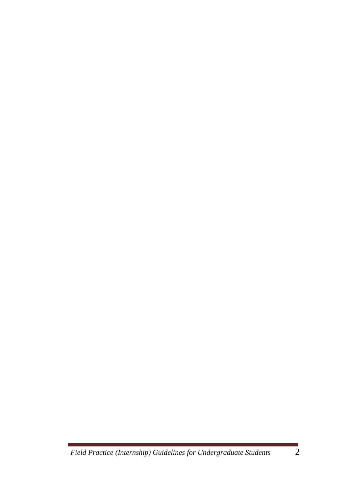# *Field Practice (Internship) Guidelines for Undergraduate Students* 2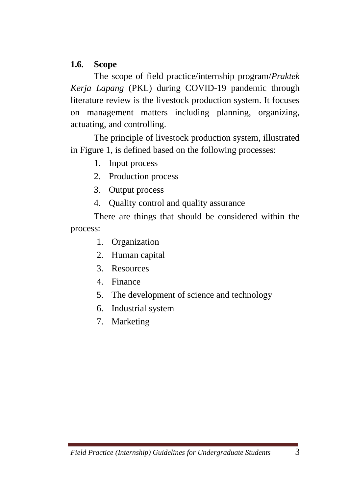#### **1.6. Scope**

The scope of field practice/internship program/*Praktek Kerja Lapang* (PKL) during COVID-19 pandemic through literature review is the livestock production system. It focuses on management matters including planning, organizing, actuating, and controlling.

The principle of livestock production system, illustrated in Figure 1, is defined based on the following processes:

- 1. Input process
- 2. Production process
- 3. Output process
- 4. Quality control and quality assurance

There are things that should be considered within the process:

- 1. Organization
- 2. Human capital
- 3. Resources
- 4. Finance
- 5. The development of science and technology
- 6. Industrial system
- 7. Marketing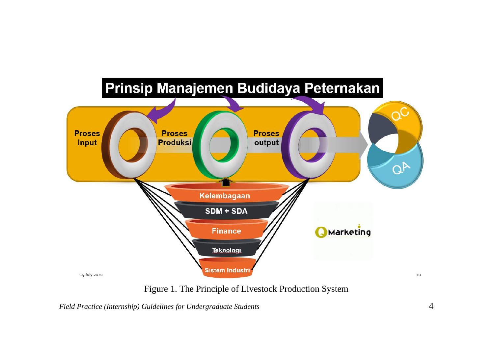

Figure 1. The Principle of Livestock Production System

*Field Practice (Internship) Guidelines for Undergraduate Students* 4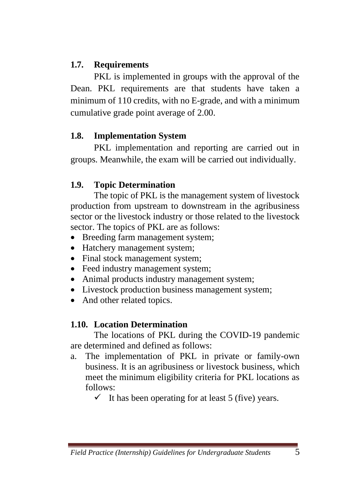#### **1.7. Requirements**

PKL is implemented in groups with the approval of the Dean. PKL requirements are that students have taken a minimum of 110 credits, with no E-grade, and with a minimum cumulative grade point average of 2.00.

#### **1.8. Implementation System**

PKL implementation and reporting are carried out in groups. Meanwhile, the exam will be carried out individually.

#### **1.9. Topic Determination**

The topic of PKL is the management system of livestock production from upstream to downstream in the agribusiness sector or the livestock industry or those related to the livestock sector. The topics of PKL are as follows:

- Breeding farm management system;
- Hatchery management system;
- Final stock management system;
- Feed industry management system;
- Animal products industry management system;
- Livestock production business management system;
- And other related topics.

### **1.10. Location Determination**

The locations of PKL during the COVID-19 pandemic are determined and defined as follows:

a. The implementation of PKL in private or family-own business. It is an agribusiness or livestock business, which meet the minimum eligibility criteria for PKL locations as follows:

 $\checkmark$  It has been operating for at least 5 (five) years.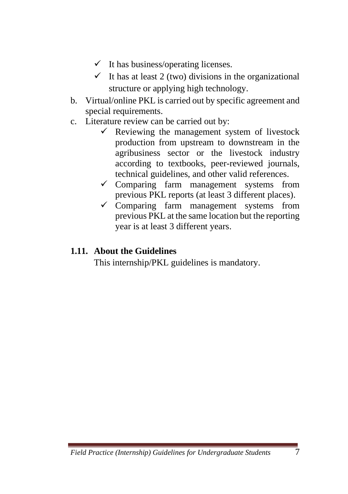- $\checkmark$  It has business/operating licenses.
- $\checkmark$  It has at least 2 (two) divisions in the organizational structure or applying high technology.
- b. Virtual/online PKL is carried out by specific agreement and special requirements.
- c. Literature review can be carried out by:
	- $\checkmark$  Reviewing the management system of livestock production from upstream to downstream in the agribusiness sector or the livestock industry according to textbooks, peer-reviewed journals, technical guidelines, and other valid references.
	- $\checkmark$  Comparing farm management systems from previous PKL reports (at least 3 different places).
	- $\checkmark$  Comparing farm management systems from previous PKL at the same location but the reporting year is at least 3 different years.

#### **1.11. About the Guidelines**

This internship/PKL guidelines is mandatory.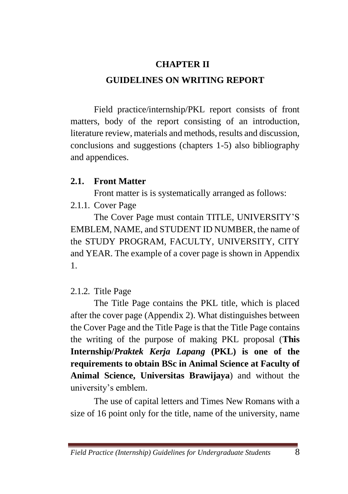# **CHAPTER II GUIDELINES ON WRITING REPORT**

Field practice/internship/PKL report consists of front matters, body of the report consisting of an introduction, literature review, materials and methods, results and discussion, conclusions and suggestions (chapters 1-5) also bibliography and appendices.

#### **2.1. Front Matter**

Front matter is is systematically arranged as follows:

2.1.1. Cover Page

The Cover Page must contain TITLE, UNIVERSITY'S EMBLEM, NAME, and STUDENT ID NUMBER, the name of the STUDY PROGRAM, FACULTY, UNIVERSITY, CITY and YEAR. The example of a cover page is shown in Appendix 1.

#### 2.1.2. Title Page

The Title Page contains the PKL title, which is placed after the cover page (Appendix 2). What distinguishes between the Cover Page and the Title Page is that the Title Page contains the writing of the purpose of making PKL proposal (**This Internship/***Praktek Kerja Lapang* **(PKL) is one of the requirements to obtain BSc in Animal Science at Faculty of Animal Science, Universitas Brawijaya**) and without the university's emblem.

The use of capital letters and Times New Romans with a size of 16 point only for the title, name of the university, name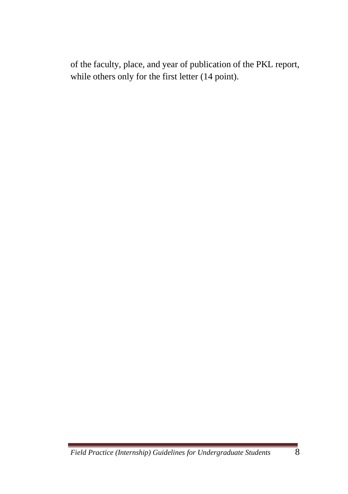of the faculty, place, and year of publication of the PKL report, while others only for the first letter (14 point).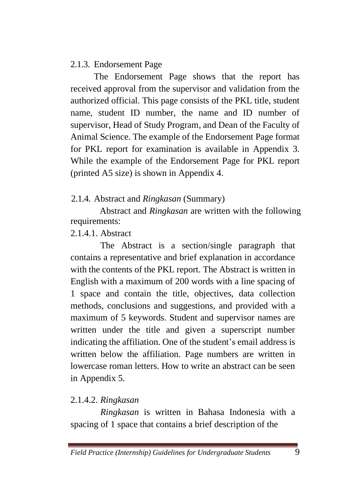#### 2.1.3. Endorsement Page

The Endorsement Page shows that the report has received approval from the supervisor and validation from the authorized official. This page consists of the PKL title, student name, student ID number, the name and ID number of supervisor, Head of Study Program, and Dean of the Faculty of Animal Science. The example of the Endorsement Page format for PKL report for examination is available in Appendix 3. While the example of the Endorsement Page for PKL report (printed A5 size) is shown in Appendix 4.

#### 2.1.4. Abstract and *Ringkasan* (Summary)

Abstract and *Ringkasan* are written with the following requirements:

2.1.4.1. Abstract

The Abstract is a section/single paragraph that contains a representative and brief explanation in accordance with the contents of the PKL report. The Abstract is written in English with a maximum of 200 words with a line spacing of 1 space and contain the title, objectives, data collection methods, conclusions and suggestions, and provided with a maximum of 5 keywords. Student and supervisor names are written under the title and given a superscript number indicating the affiliation. One of the student's email address is written below the affiliation. Page numbers are written in lowercase roman letters. How to write an abstract can be seen in Appendix 5.

#### 2.1.4.2. *Ringkasan*

*Ringkasan* is written in Bahasa Indonesia with a spacing of 1 space that contains a brief description of the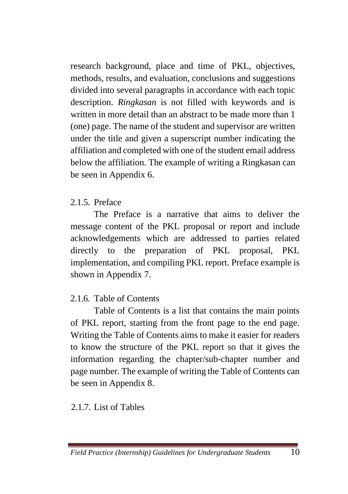research background, place and time of PKL, objectives, methods, results, and evaluation, conclusions and suggestions divided into several paragraphs in accordance with each topic description. *Ringkasan* is not filled with keywords and is written in more detail than an abstract to be made more than 1 (one) page. The name of the student and supervisor are written under the title and given a superscript number indicating the affiliation and completed with one of the student email address below the affiliation. The example of writing a Ringkasan can be seen in Appendix 6.

#### 2.1.5. Preface

The Preface is a narrative that aims to deliver the message content of the PKL proposal or report and include acknowledgements which are addressed to parties related directly to the preparation of PKL proposal, PKL implementation, and compiling PKL report. Preface example is shown in Appendix 7.

#### 2.1.6. Table of Contents

Table of Contents is a list that contains the main points of PKL report, starting from the front page to the end page. Writing the Table of Contents aims to make it easier for readers to know the structure of the PKL report so that it gives the information regarding the chapter/sub-chapter number and page number. The example of writing the Table of Contents can be seen in Appendix 8.

#### 2.1.7. List of Tables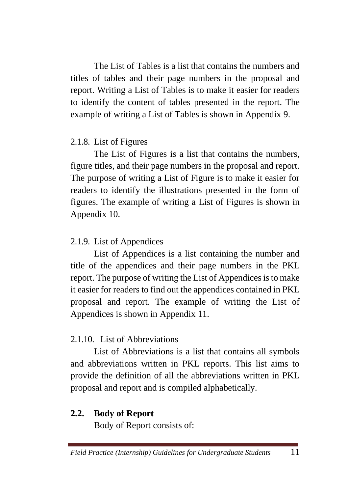The List of Tables is a list that contains the numbers and titles of tables and their page numbers in the proposal and report. Writing a List of Tables is to make it easier for readers to identify the content of tables presented in the report. The example of writing a List of Tables is shown in Appendix 9.

#### 2.1.8. List of Figures

The List of Figures is a list that contains the numbers, figure titles, and their page numbers in the proposal and report. The purpose of writing a List of Figure is to make it easier for readers to identify the illustrations presented in the form of figures. The example of writing a List of Figures is shown in Appendix 10.

#### 2.1.9. List of Appendices

List of Appendices is a list containing the number and title of the appendices and their page numbers in the PKL report. The purpose of writing the List of Appendices is to make it easier for readers to find out the appendices contained in PKL proposal and report. The example of writing the List of Appendices is shown in Appendix 11.

#### 2.1.10. List of Abbreviations

List of Abbreviations is a list that contains all symbols and abbreviations written in PKL reports. This list aims to provide the definition of all the abbreviations written in PKL proposal and report and is compiled alphabetically.

### **2.2. Body of Report**

Body of Report consists of: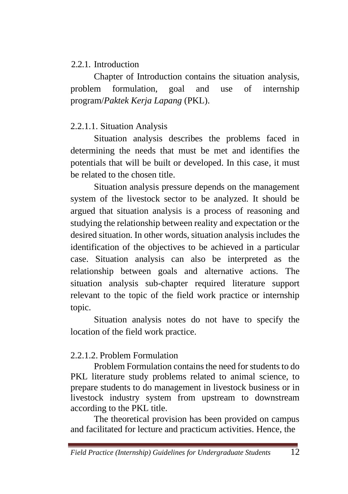#### 2.2.1. Introduction

Chapter of Introduction contains the situation analysis, problem formulation, goal and use of internship program/*Paktek Kerja Lapang* (PKL).

### 2.2.1.1. Situation Analysis

Situation analysis describes the problems faced in determining the needs that must be met and identifies the potentials that will be built or developed. In this case, it must be related to the chosen title.

Situation analysis pressure depends on the management system of the livestock sector to be analyzed. It should be argued that situation analysis is a process of reasoning and studying the relationship between reality and expectation or the desired situation. In other words, situation analysis includes the identification of the objectives to be achieved in a particular case. Situation analysis can also be interpreted as the relationship between goals and alternative actions. The situation analysis sub-chapter required literature support relevant to the topic of the field work practice or internship topic.

Situation analysis notes do not have to specify the location of the field work practice.

### 2.2.1.2. Problem Formulation

Problem Formulation contains the need for students to do PKL literature study problems related to animal science, to prepare students to do management in livestock business or in livestock industry system from upstream to downstream according to the PKL title.

The theoretical provision has been provided on campus and facilitated for lecture and practicum activities. Hence, the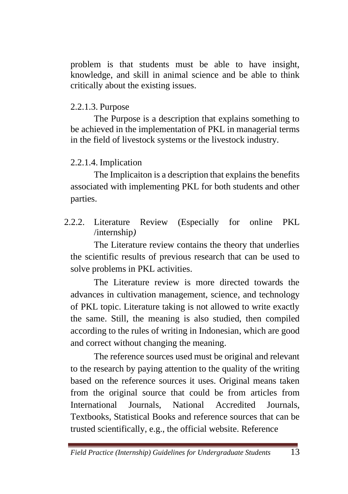problem is that students must be able to have insight, knowledge, and skill in animal science and be able to think critically about the existing issues.

#### 2.2.1.3. Purpose

The Purpose is a description that explains something to be achieved in the implementation of PKL in managerial terms in the field of livestock systems or the livestock industry.

#### 2.2.1.4. Implication

The Implicaiton is a description that explains the benefits associated with implementing PKL for both students and other parties.

2.2.2. Literature Review (Especially for online PKL /internship*)*

The Literature review contains the theory that underlies the scientific results of previous research that can be used to solve problems in PKL activities.

The Literature review is more directed towards the advances in cultivation management, science, and technology of PKL topic. Literature taking is not allowed to write exactly the same. Still, the meaning is also studied, then compiled according to the rules of writing in Indonesian, which are good and correct without changing the meaning.

The reference sources used must be original and relevant to the research by paying attention to the quality of the writing based on the reference sources it uses. Original means taken from the original source that could be from articles from International Journals, National Accredited Journals, Textbooks, Statistical Books and reference sources that can be trusted scientifically, e.g., the official website. Reference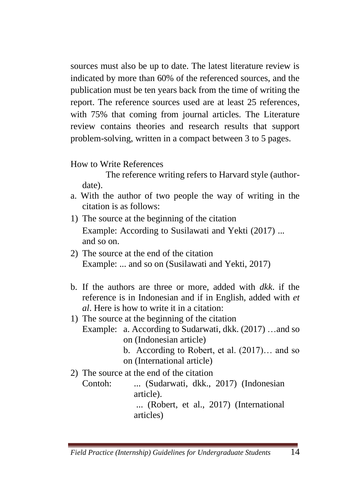sources must also be up to date. The latest literature review is indicated by more than 60% of the referenced sources, and the publication must be ten years back from the time of writing the report. The reference sources used are at least 25 references, with 75% that coming from journal articles. The Literature review contains theories and research results that support problem-solving, written in a compact between 3 to 5 pages.

#### How to Write References

The reference writing refers to Harvard style (authordate).

- a. With the author of two people the way of writing in the citation is as follows:
- 1) The source at the beginning of the citation Example: According to Susilawati and Yekti (2017) ... and so on.
- 2) The source at the end of the citation Example: ... and so on (Susilawati and Yekti, 2017)
- b. If the authors are three or more, added with *dkk*. if the reference is in Indonesian and if in English, added with *et al*. Here is how to write it in a citation:
- 1) The source at the beginning of the citation Example: a. According to Sudarwati, dkk. (2017) …and so on (Indonesian article)
	- b. According to Robert, et al. (2017)… and so on (International article)
- 2) The source at the end of the citation Contoh: ... (Sudarwati, dkk., 2017) (Indonesian article). ... (Robert, et al., 2017) (International articles)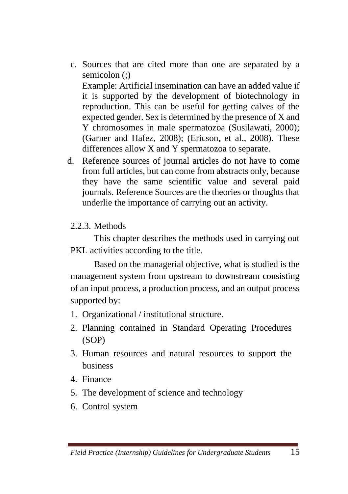c. Sources that are cited more than one are separated by a semicolon (:) Example: Artificial insemination can have an added value if

it is supported by the development of biotechnology in reproduction. This can be useful for getting calves of the expected gender. Sex is determined by the presence of X and Y chromosomes in male spermatozoa (Susilawati, 2000); (Garner and Hafez, 2008); (Ericson, et al., 2008). These differences allow X and Y spermatozoa to separate.

- d. Reference sources of journal articles do not have to come from full articles, but can come from abstracts only, because they have the same scientific value and several paid journals. Reference Sources are the theories or thoughts that underlie the importance of carrying out an activity.
- 2.2.3. Methods

This chapter describes the methods used in carrying out PKL activities according to the title.

Based on the managerial objective, what is studied is the management system from upstream to downstream consisting of an input process, a production process, and an output process supported by:

- 1. Organizational / institutional structure.
- 2. Planning contained in Standard Operating Procedures (SOP)
- 3. Human resources and natural resources to support the business
- 4. Finance
- 5. The development of science and technology
- 6. Control system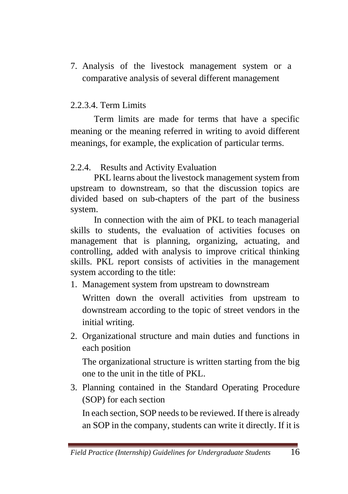7. Analysis of the livestock management system or a comparative analysis of several different management

#### 2.2.3.4. Term Limits

Term limits are made for terms that have a specific meaning or the meaning referred in writing to avoid different meanings, for example, the explication of particular terms.

#### 2.2.4. Results and Activity Evaluation

PKL learns about the livestock management system from upstream to downstream, so that the discussion topics are divided based on sub-chapters of the part of the business system.

In connection with the aim of PKL to teach managerial skills to students, the evaluation of activities focuses on management that is planning, organizing, actuating, and controlling, added with analysis to improve critical thinking skills. PKL report consists of activities in the management system according to the title:

1. Management system from upstream to downstream

Written down the overall activities from upstream to downstream according to the topic of street vendors in the initial writing.

2. Organizational structure and main duties and functions in each position

The organizational structure is written starting from the big one to the unit in the title of PKL.

3. Planning contained in the Standard Operating Procedure (SOP) for each section

In each section, SOP needs to be reviewed. If there is already an SOP in the company, students can write it directly. If it is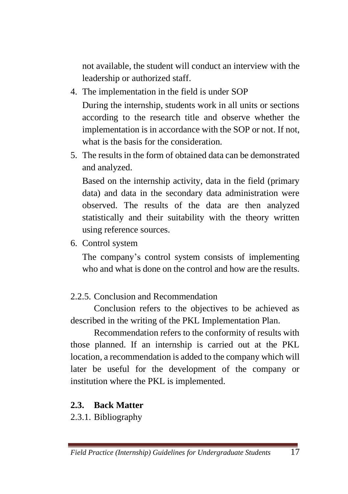not available, the student will conduct an interview with the leadership or authorized staff.

- 4. The implementation in the field is under SOP During the internship, students work in all units or sections according to the research title and observe whether the implementation is in accordance with the SOP or not. If not, what is the basis for the consideration.
- 5. The results in the form of obtained data can be demonstrated and analyzed.

Based on the internship activity, data in the field (primary data) and data in the secondary data administration were observed. The results of the data are then analyzed statistically and their suitability with the theory written using reference sources.

6. Control system

The company's control system consists of implementing who and what is done on the control and how are the results.

2.2.5. Conclusion and Recommendation

Conclusion refers to the objectives to be achieved as described in the writing of the PKL Implementation Plan.

Recommendation refers to the conformity of results with those planned. If an internship is carried out at the PKL location, a recommendation is added to the company which will later be useful for the development of the company or institution where the PKL is implemented.

## **2.3. Back Matter**

2.3.1. Bibliography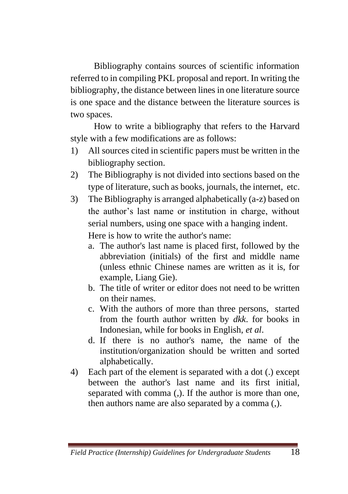Bibliography contains sources of scientific information referred to in compiling PKL proposal and report. In writing the bibliography, the distance between lines in one literature source is one space and the distance between the literature sources is two spaces.

How to write a bibliography that refers to the Harvard style with a few modifications are as follows:

- 1) All sources cited in scientific papers must be written in the bibliography section.
- 2) The Bibliography is not divided into sections based on the type of literature, such as books, journals, the internet, etc.
- 3) The Bibliography is arranged alphabetically (a-z) based on the author's last name or institution in charge, without serial numbers, using one space with a hanging indent.

Here is how to write the author's name:

- a. The author's last name is placed first, followed by the abbreviation (initials) of the first and middle name (unless ethnic Chinese names are written as it is, for example, Liang Gie).
- b. The title of writer or editor does not need to be written on their names.
- c. With the authors of more than three persons, started from the fourth author written by *dkk*. for books in Indonesian, while for books in English, *et al*.
- d. If there is no author's name, the name of the institution/organization should be written and sorted alphabetically.
- 4) Each part of the element is separated with a dot (.) except between the author's last name and its first initial, separated with comma (,). If the author is more than one, then authors name are also separated by a comma (,).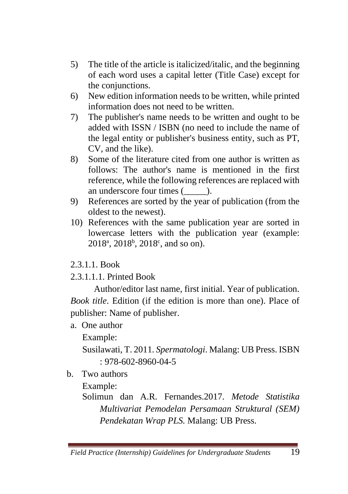- 5) The title of the article is italicized/italic, and the beginning of each word uses a capital letter (Title Case) except for the conjunctions.
- 6) New edition information needs to be written, while printed information does not need to be written.
- 7) The publisher's name needs to be written and ought to be added with ISSN / ISBN (no need to include the name of the legal entity or publisher's business entity, such as PT, CV, and the like).
- 8) Some of the literature cited from one author is written as follows: The author's name is mentioned in the first reference, while the following references are replaced with an underscore four times  $($
- 9) References are sorted by the year of publication (from the oldest to the newest).
- 10) References with the same publication year are sorted in lowercase letters with the publication year (example:  $2018^{\circ}$ ,  $2018^{\circ}$ ,  $2018^{\circ}$ , and so on).
- 2.3.1.1. Book
- 2.3.1.1.1. Printed Book

Author/editor last name, first initial. Year of publication. *Book title*. Edition (if the edition is more than one). Place of publisher: Name of publisher.

a. One author

Example:

Susilawati, T. 2011. *Spermatologi*. Malang: UB Press. ISBN : 978-602-8960-04-5

b. Two authors

Example:

Solimun dan A.R. Fernandes.2017. *Metode Statistika Multivariat Pemodelan Persamaan Struktural (SEM) Pendekatan Wrap PLS.* Malang: UB Press.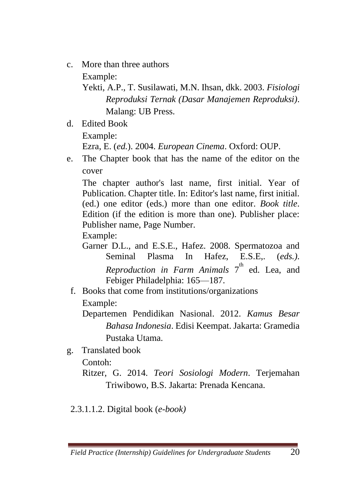c. More than three authors Example:

> Yekti, A.P., T. Susilawati, M.N. Ihsan, dkk. 2003. *Fisiologi Reproduksi Ternak (Dasar Manajemen Reproduksi)*. Malang: UB Press.

- d. Edited Book Example: Ezra, E. (*ed.*). 2004. *European Cinema*. Oxford: OUP.
- e. The Chapter book that has the name of the editor on the cover

The chapter author's last name, first initial. Year of Publication. Chapter title. In: Editor's last name, first initial. (ed.) one editor (eds.) more than one editor. *Book title*. Edition (if the edition is more than one). Publisher place: Publisher name, Page Number.

Example:

Garner D.L., and E.S.E., Hafez. 2008. Spermatozoa and Seminal Plasma In Hafez, E.S.E,. (*eds.).*  Reproduction in Farm Animals 7<sup>th</sup> ed. Lea, and Febiger Philadelphia: 165—187.

f. Books that come from institutions/organizations Example:

Departemen Pendidikan Nasional. 2012. *Kamus Besar Bahasa Indonesia*. Edisi Keempat. Jakarta: Gramedia Pustaka Utama.

g. Translated book

Contoh:

Ritzer, G. 2014. *Teori Sosiologi Modern*. Terjemahan Triwibowo, B.S. Jakarta: Prenada Kencana.

2.3.1.1.2. Digital book (*e-book)*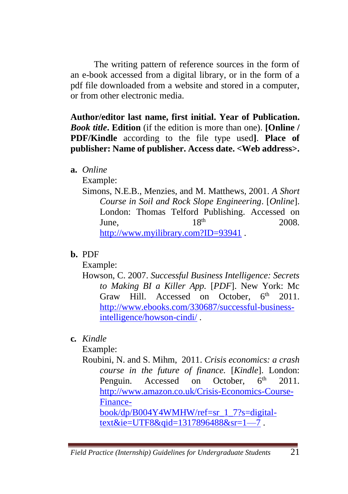The writing pattern of reference sources in the form of an e-book accessed from a digital library, or in the form of a pdf file downloaded from a website and stored in a computer, or from other electronic media.

**Author/editor last name, first initial. Year of Publication.**  *Book title***. Edition** (if the edition is more than one). **[Online / PDF/Kindle** according to the file type used**]**. **Place of publisher: Name of publisher. Access date. <Web address>.**

**a.** *Online*

Example:

Simons, N.E.B., Menzies, and M. Matthews, 2001. *A Short Course in Soil and Rock Slope Engineering*. [*Online*]. London: Thomas Telford Publishing. Accessed on June,  $18<sup>th</sup>$ 2008. [http://www.myilibrary.com?ID=93941](http://www.myilibrary.com/?ID=93941) .

#### **b.** PDF

Example:

Howson, C. 2007. *Successful Business Intelligence: Secrets to Making BI a Killer App.* [*PDF*]. New York: Mc Graw Hill. Accessed on October, 6<sup>th</sup>  $2011.$ [http://www.ebooks.com/330687/successful-business](http://www.ebooks.com/330687/successful-business-intelligence/howson-cindi/)[intelligence/howson-cindi/](http://www.ebooks.com/330687/successful-business-intelligence/howson-cindi/) .

#### **c***. Kindle*

Example:

Roubini, N. and S. Mihm, 2011. *Crisis economics: a crash course in the future of finance.* [*Kindle*]. London: Penguin. Accessed on October,  $6<sup>th</sup>$  2011. [http://www.amazon.co.uk/Crisis-Economics-Course-](http://www.amazon.co.uk/Crisis-Economics-Course-Finance-book/dp/B004Y4WMHW/ref=sr_1_7?s=digital-text&ie=UTF8&qid=1317896488&sr=1—7)[Finance](http://www.amazon.co.uk/Crisis-Economics-Course-Finance-book/dp/B004Y4WMHW/ref=sr_1_7?s=digital-text&ie=UTF8&qid=1317896488&sr=1—7)[book/dp/B004Y4WMHW/ref=sr\\_1\\_7?s=digital](http://www.amazon.co.uk/Crisis-Economics-Course-Finance-book/dp/B004Y4WMHW/ref=sr_1_7?s=digital-text&ie=UTF8&qid=1317896488&sr=1—7)[text&ie=UTF8&qid=1317896488&sr=1—7](http://www.amazon.co.uk/Crisis-Economics-Course-Finance-book/dp/B004Y4WMHW/ref=sr_1_7?s=digital-text&ie=UTF8&qid=1317896488&sr=1—7) .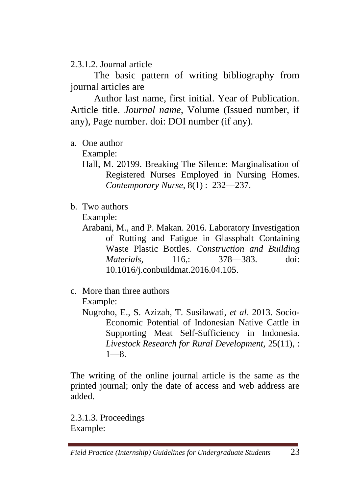2.3.1.2. Journal article

The basic pattern of writing bibliography from journal articles are

Author last name, first initial. Year of Publication. Article title. *Journal name*, Volume (Issued number, if any), Page number. doi: DOI number (if any).

a. One author

Example:

Hall, M. 20199. Breaking The Silence: Marginalisation of Registered Nurses Employed in Nursing Homes. *Contemporary Nurse,* 8(1) : 232—237.

b. Two authors

Example:

Arabani, M., and P. Makan. 2016. Laboratory Investigation of Rutting and Fatigue in Glassphalt Containing Waste Plastic Bottles. *Construction and Building Materials,* 116,: 378—383. doi: 10.1016/j.conbuildmat.2016.04.105.

c. More than three authors Example:

Nugroho, E., S. Azizah, T. Susilawati, *et al*. 2013. Socio-Economic Potential of Indonesian Native Cattle in Supporting Meat Self-Sufficiency in Indonesia. *Livestock Research for Rural Development,* 25(11), :  $1 - 8$ .

The writing of the online journal article is the same as the printed journal; only the date of access and web address are added.

2.3.1.3. Proceedings Example: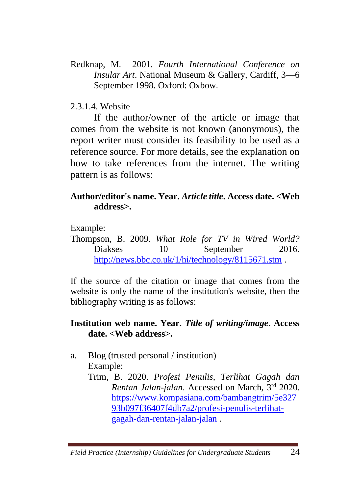Redknap, M. 2001. *Fourth International Conference on Insular Art*. National Museum & Gallery, Cardiff, 3—6 September 1998. Oxford: Oxbow.

#### 2.3.1.4. Website

If the author/owner of the article or image that comes from the website is not known (anonymous), the report writer must consider its feasibility to be used as a reference source. For more details, see the explanation on how to take references from the internet. The writing pattern is as follows:

#### **Author/editor's name. Year.** *Article title***. Access date. <Web address>.**

Example:

Thompson, B. 2009. *What Role for TV in Wired World?* Diakses 10 September 2016. <http://news.bbc.co.uk/1/hi/technology/8115671.stm> .

If the source of the citation or image that comes from the website is only the name of the institution's website, then the bibliography writing is as follows:

#### **Institution web name. Year.** *Title of writing/image***. Access date. <Web address>.**

- a. Blog (trusted personal / institution) Example:
	- Trim, B. 2020. *Profesi Penulis, Terlihat Gagah dan Rentan Jalan-jalan*. Accessed on March, 3rd 2020. [https://www.kompasiana.com/bambangtrim/5e327](https://www.kompasiana.com/bambangtrim/5e32793b097f36407f4db7a2/profesi-penulis-terlihat-gagah-dan-rentan-jalan-jalan) [93b097f36407f4db7a2/profesi-penulis-terlihat](https://www.kompasiana.com/bambangtrim/5e32793b097f36407f4db7a2/profesi-penulis-terlihat-gagah-dan-rentan-jalan-jalan)[gagah-dan-rentan-jalan-jalan](https://www.kompasiana.com/bambangtrim/5e32793b097f36407f4db7a2/profesi-penulis-terlihat-gagah-dan-rentan-jalan-jalan) .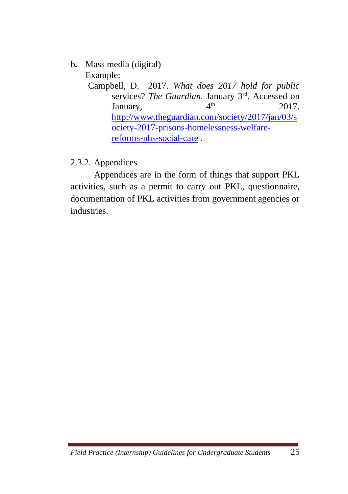#### b**.** Mass media (digital)

Example:

Campbell, D. 2017. *What does 2017 hold for public* services? *The Guardian.* January 3<sup>rd</sup>. Accessed on January 2017 January,  $4<sup>th</sup>$  2017. [http://www.theguardian.com/society/2017/jan/03/s](http://www.theguardian.com/society/2017/jan/03/society-2017-prisons-homelessness-welfare-reforms-nhs-social-care) [ociety-2017-prisons-homelessness-welfare](http://www.theguardian.com/society/2017/jan/03/society-2017-prisons-homelessness-welfare-reforms-nhs-social-care)[reforms-nhs-social-care](http://www.theguardian.com/society/2017/jan/03/society-2017-prisons-homelessness-welfare-reforms-nhs-social-care) .

2.3.2. Appendices

Appendices are in the form of things that support PKL activities, such as a permit to carry out PKL, questionnaire, documentation of PKL activities from government agencies or industries.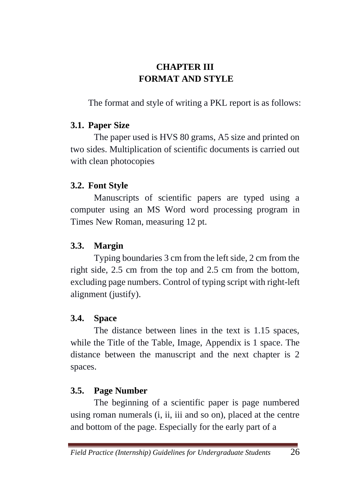### **CHAPTER III FORMAT AND STYLE**

The format and style of writing a PKL report is as follows:

#### <span id="page-28-0"></span>**3.1. Paper Size**

The paper used is HVS 80 grams, A5 size and printed on two sides. Multiplication of scientific documents is carried out with clean photocopies

#### **3.2. Font Style**

Manuscripts of scientific papers are typed using a computer using an MS Word word processing program in Times New Roman, measuring 12 pt.

#### **3.3. Margin**

Typing boundaries 3 cm from the left side, 2 cm from the right side, 2.5 cm from the top and 2.5 cm from the bottom, excluding page numbers. Control of typing script with right-left alignment (justify).

#### <span id="page-28-1"></span>**3.4. Space**

The distance between lines in the text is 1.15 spaces, while the Title of the Table, Image, Appendix is 1 space. The distance between the manuscript and the next chapter is 2 spaces.

### **3.5. Page Number**

The beginning of a scientific paper is page numbered using roman numerals (i, ii, iii and so on), placed at the centre and bottom of the page. Especially for the early part of a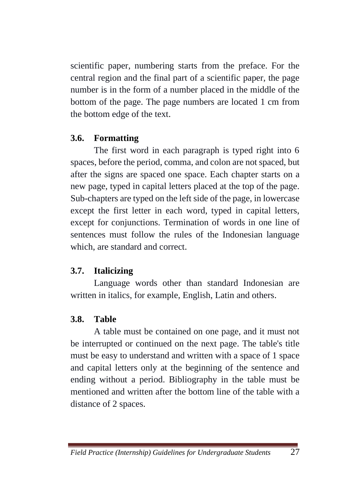scientific paper, numbering starts from the preface. For the central region and the final part of a scientific paper, the page number is in the form of a number placed in the middle of the bottom of the page. The page numbers are located 1 cm from the bottom edge of the text.

#### **3.6. Formatting**

The first word in each paragraph is typed right into 6 spaces, before the period, comma, and colon are not spaced, but after the signs are spaced one space. Each chapter starts on a new page, typed in capital letters placed at the top of the page. Sub-chapters are typed on the left side of the page, in lowercase except the first letter in each word, typed in capital letters, except for conjunctions. Termination of words in one line of sentences must follow the rules of the Indonesian language which, are standard and correct.

#### **3.7. Italicizing**

Language words other than standard Indonesian are written in italics, for example, English, Latin and others.

#### **3.8. Table**

<span id="page-29-0"></span>A table must be contained on one page, and it must not be interrupted or continued on the next page. The table's title must be easy to understand and written with a space of 1 space and capital letters only at the beginning of the sentence and ending without a period. Bibliography in the table must be mentioned and written after the bottom line of the table with a distance of 2 spaces.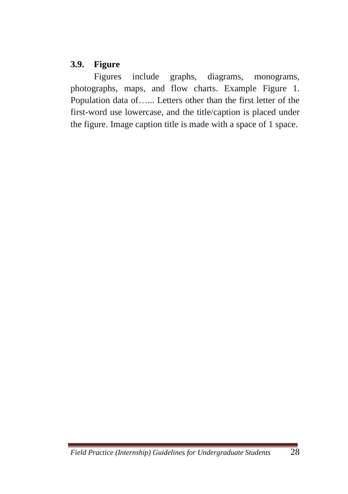#### **3.9. Figure**

Figures include graphs, diagrams, monograms, photographs, maps, and flow charts. Example Figure 1. Population data of…... Letters other than the first letter of the first-word use lowercase, and the title/caption is placed under the figure. Image caption title is made with a space of 1 space.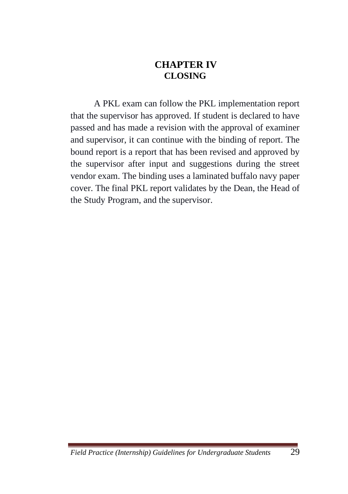#### **CHAPTER IV CLOSING**

A PKL exam can follow the PKL implementation report that the supervisor has approved. If student is declared to have passed and has made a revision with the approval of examiner and supervisor, it can continue with the binding of report. The bound report is a report that has been revised and approved by the supervisor after input and suggestions during the street vendor exam. The binding uses a laminated buffalo navy paper cover. The final PKL report validates by the Dean, the Head of the Study Program, and the supervisor.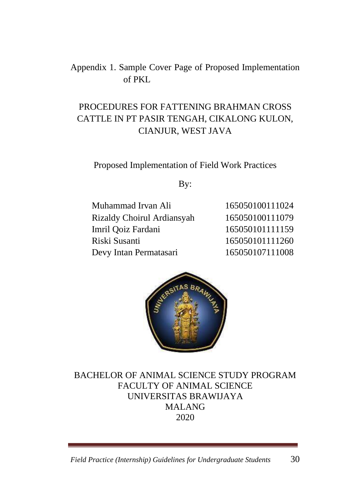Appendix 1. Sample Cover Page of Proposed Implementation of PKL

#### PROCEDURES FOR FATTENING BRAHMAN CROSS CATTLE IN PT PASIR TENGAH, CIKALONG KULON, CIANJUR, WEST JAVA

Proposed Implementation of Field Work Practices

By:

Muhammad Irvan Ali 165050100111024 Rizaldy Choirul Ardiansyah 165050100111079 Imril Qoiz Fardani 165050101111159 Riski Susanti 165050101111260 Devy Intan Permatasari 165050107111008



BACHELOR OF ANIMAL SCIENCE STUDY PROGRAM FACULTY OF ANIMAL SCIENCE UNIVERSITAS BRAWIJAYA MALANG 2020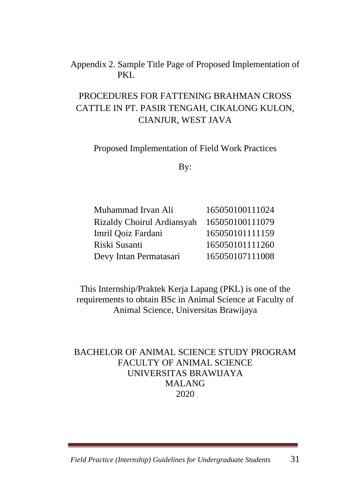Appendix 2. Sample Title Page of Proposed Implementation of PKL.

#### PROCEDURES FOR FATTENING BRAHMAN CROSS CATTLE IN PT. PASIR TENGAH, CIKALONG KULON, CIANJUR, WEST JAVA

Proposed Implementation of Field Work Practices

By:

| Muhammad Irvan Ali         | 165050100111024 |
|----------------------------|-----------------|
| Rizaldy Choirul Ardiansyah | 165050100111079 |
| Imril Qoiz Fardani         | 165050101111159 |
| Riski Susanti              | 165050101111260 |
| Devy Intan Permatasari     | 165050107111008 |

This Internship/Praktek Kerja Lapang (PKL) is one of the requirements to obtain BSc in Animal Science at Faculty of Animal Science, Universitas Brawijaya

#### BACHELOR OF ANIMAL SCIENCE STUDY PROGRAM FACULTY OF ANIMAL SCIENCE UNIVERSITAS BRAWIJAYA MALANG 2020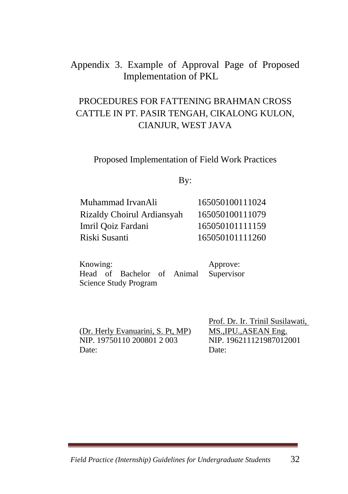#### Appendix 3. Example of Approval Page of Proposed Implementation of PKL

#### PROCEDURES FOR FATTENING BRAHMAN CROSS CATTLE IN PT. PASIR TENGAH, CIKALONG KULON, CIANJUR, WEST JAVA

Proposed Implementation of Field Work Practices

By:

Muhammad IrvanAli 165050100111024 Rizaldy Choirul Ardiansyah 165050100111079 Imril Qoiz Fardani 165050101111159 Riski Susanti 165050101111260

Knowing: Head of Bachelor of Animal Science Study Program

Approve: Supervisor

| (Dr. Herly Evanuarini, S. Pt, MP) |
|-----------------------------------|
| NIP. 19750110 200801 2 003        |
| Date:                             |

Prof. Dr. Ir. Trinil Susilawati, MS.,IPU.,ASEAN Eng. NIP. 196211121987012001 Date: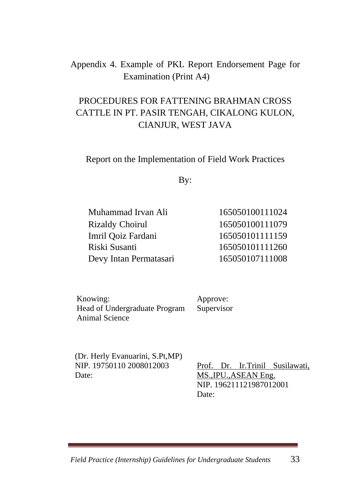#### Appendix 4. Example of PKL Report Endorsement Page for Examination (Print A4)

#### PROCEDURES FOR FATTENING BRAHMAN CROSS CATTLE IN PT. PASIR TENGAH, CIKALONG KULON, CIANJUR, WEST JAVA

Report on the Implementation of Field Work Practices

By:

| Muhammad Irvan Ali     | 165050100111024 |
|------------------------|-----------------|
| Rizaldy Choirul        | 165050100111079 |
| Imril Qoiz Fardani     | 165050101111159 |
| Riski Susanti          | 165050101111260 |
| Devy Intan Permatasari | 165050107111008 |

Knowing: Head of Undergraduate Program Animal Science

Approve: Supervisor

(Dr. Herly Evanuarini, S.Pt,MP) NIP. 19750110 2008012003 Date:

Prof. Dr. Ir.Trinil Susilawati, MS.,IPU.,ASEAN Eng. NIP. 196211121987012001 Date: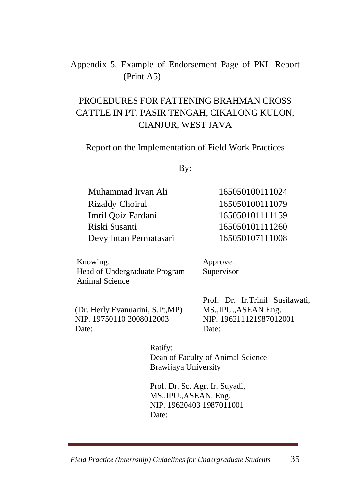#### Appendix 5. Example of Endorsement Page of PKL Report (Print A5)

#### PROCEDURES FOR FATTENING BRAHMAN CROSS CATTLE IN PT. PASIR TENGAH, CIKALONG KULON, CIANJUR, WEST JAVA

Report on the Implementation of Field Work Practices

By:

| Muhammad Irvan Ali     | 165050100111024 |
|------------------------|-----------------|
| <b>Rizaldy Choirul</b> | 165050100111079 |
| Imril Qoiz Fardani     | 165050101111159 |
| Riski Susanti          | 165050101111260 |
| Devy Intan Permatasari | 165050107111008 |

Knowing: Head of Undergraduate Program Animal Science

Approve: Supervisor

(Dr. Herly Evanuarini, S.Pt,MP) NIP. 19750110 2008012003 Date:

Prof. Dr. Ir.Trinil Susilawati, MS.,IPU.,ASEAN Eng. NIP. 196211121987012001 Date:

 Ratify: Dean of Faculty of Animal Science Brawijaya University

 Prof. Dr. Sc. Agr. Ir. Suyadi, MS.,IPU.,ASEAN. Eng. NIP. 19620403 1987011001 Date: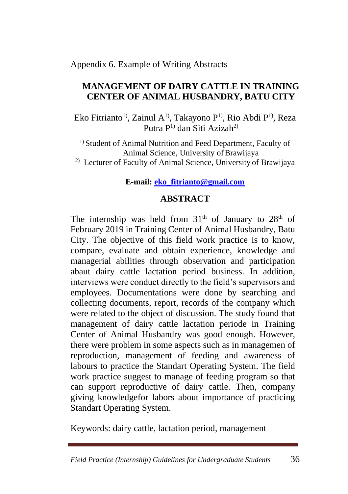#### Appendix 6. Example of Writing Abstracts

#### **MANAGEMENT OF DAIRY CATTLE IN TRAINING CENTER OF ANIMAL HUSBANDRY, BATU CITY**

Eko Fitrianto<sup>1)</sup>, Zainul A<sup>1)</sup>, Takayono P<sup>1)</sup>, Rio Abdi P<sup>1)</sup>, Reza Putra P1) dan Siti Azizah2)

<sup>1)</sup> Student of Animal Nutrition and Feed Department, Faculty of Animal Science, University of Brawijaya 2) Lecturer of Faculty of Animal Science, University of Brawijaya

#### **E-mail: [eko\\_fitrianto@gmail.com](mailto:eko_fitrianto@gmail.com)**

#### **ABSTRACT**

The internship was held from  $31<sup>th</sup>$  of January to  $28<sup>th</sup>$  of February 2019 in Training Center of Animal Husbandry, Batu City. The objective of this field work practice is to know, compare, evaluate and obtain experience, knowledge and managerial abilities through observation and participation abaut dairy cattle lactation period business. In addition, interviews were conduct directly to the field's supervisors and employees. Documentations were done by searching and collecting documents, report, records of the company which were related to the object of discussion. The study found that management of dairy cattle lactation periode in Training Center of Animal Husbandry was good enough. However, there were problem in some aspects such as in managemen of reproduction, management of feeding and awareness of labours to practice the Standart Operating System. The field work practice suggest to manage of feeding program so that can support reproductive of dairy cattle. Then, company giving knowledgefor labors about importance of practicing Standart Operating System.

Keywords: dairy cattle, lactation period, management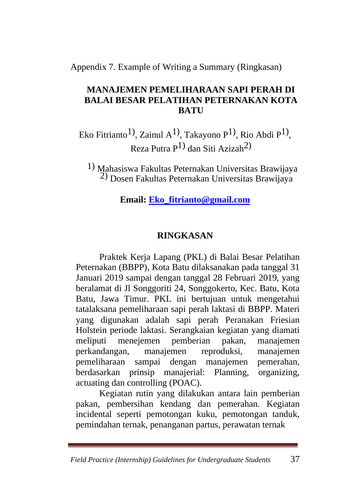Appendix 7. Example of Writing a Summary (Ringkasan)

#### **MANAJEMEN PEMELIHARAAN SAPI PERAH DI BALAI BESAR PELATIHAN PETERNAKAN KOTA BATU**

Eko Fitrianto<sup>1)</sup>, Zainul A<sup>1)</sup>, Takayono P<sup>1)</sup>, Rio Abdi P<sup>1)</sup>, Reza Putra  $P^{1)}$  dan Siti Azizah<sup>2)</sup>

1) Mahasiswa Fakultas Peternakan Universitas Brawijaya  $^{20}$  Dosen Fakultas Peternakan Universitas Brawijaya

**Email: [Eko\\_fitrianto@gmail.com](mailto:Eko_fitrianto@gmail.com)**

#### **RINGKASAN**

Praktek Kerja Lapang (PKL) di Balai Besar Pelatihan Peternakan (BBPP), Kota Batu dilaksanakan pada tanggal 31 Januari 2019 sampai dengan tanggal 28 Februari 2019, yang beralamat di Jl Songgoriti 24, Songgokerto, Kec. Batu, Kota Batu, Jawa Timur. PKL ini bertujuan untuk mengetahui tatalaksana pemeliharaan sapi perah laktasi di BBPP. Materi yang digunakan adalah sapi perah Peranakan Friesian Holstein periode laktasi. Serangkaian kegiatan yang diamati meliputi menejemen pemberian pakan, manajemen perkandangan, manajemen reproduksi, manajemen pemeliharaan sampai dengan manajemen pemerahan, berdasarkan prinsip manajerial: Planning, organizing, actuating dan controlling (POAC).

Kegiatan rutin yang dilakukan antara lain pemberian pakan, pembersihan kendang dan pemerahan. Kegiatan incidental seperti pemotongan kuku, pemotongan tanduk, pemindahan ternak, penanganan partus, perawatan ternak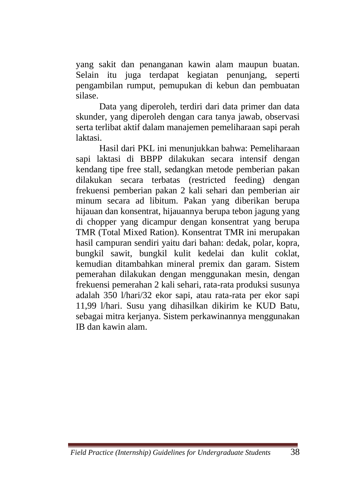yang sakit dan penanganan kawin alam maupun buatan. Selain itu juga terdapat kegiatan penunjang, seperti pengambilan rumput, pemupukan di kebun dan pembuatan silase.

Data yang diperoleh, terdiri dari data primer dan data skunder, yang diperoleh dengan cara tanya jawab, observasi serta terlibat aktif dalam manajemen pemeliharaan sapi perah laktasi.

Hasil dari PKL ini menunjukkan bahwa: Pemeliharaan sapi laktasi di BBPP dilakukan secara intensif dengan kendang tipe free stall, sedangkan metode pemberian pakan dilakukan secara terbatas (restricted feeding) dengan frekuensi pemberian pakan 2 kali sehari dan pemberian air minum secara ad libitum. Pakan yang diberikan berupa hijauan dan konsentrat, hijauannya berupa tebon jagung yang di chopper yang dicampur dengan konsentrat yang berupa TMR (Total Mixed Ration). Konsentrat TMR ini merupakan hasil campuran sendiri yaitu dari bahan: dedak, polar, kopra, bungkil sawit, bungkil kulit kedelai dan kulit coklat, kemudian ditambahkan mineral premix dan garam. Sistem pemerahan dilakukan dengan menggunakan mesin, dengan frekuensi pemerahan 2 kali sehari, rata-rata produksi susunya adalah 350 l/hari/32 ekor sapi, atau rata-rata per ekor sapi 11,99 l/hari. Susu yang dihasilkan dikirim ke KUD Batu, sebagai mitra kerjanya. Sistem perkawinannya menggunakan IB dan kawin alam.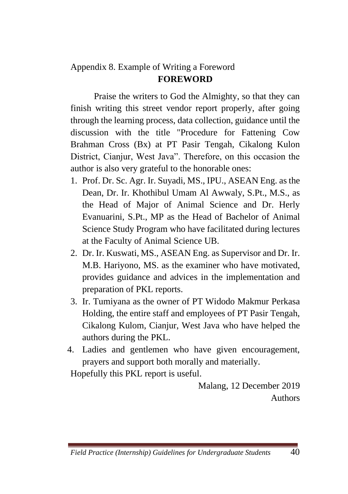#### Appendix 8. Example of Writing a Foreword **FOREWORD**

Praise the writers to God the Almighty, so that they can finish writing this street vendor report properly, after going through the learning process, data collection, guidance until the discussion with the title "Procedure for Fattening Cow Brahman Cross (Bx) at PT Pasir Tengah, Cikalong Kulon District, Cianjur, West Java". Therefore, on this occasion the author is also very grateful to the honorable ones:

- 1. Prof. Dr. Sc. Agr. Ir. Suyadi, MS., IPU., ASEAN Eng. as the Dean, Dr. Ir. Khothibul Umam Al Awwaly, S.Pt., M.S., as the Head of Major of Animal Science and Dr. Herly Evanuarini, S.Pt., MP as the Head of Bachelor of Animal Science Study Program who have facilitated during lectures at the Faculty of Animal Science UB.
- 2. Dr. Ir. Kuswati, MS., ASEAN Eng. as Supervisor and Dr. Ir. M.B. Hariyono, MS. as the examiner who have motivated, provides guidance and advices in the implementation and preparation of PKL reports.
- 3. Ir. Tumiyana as the owner of PT Widodo Makmur Perkasa Holding, the entire staff and employees of PT Pasir Tengah, Cikalong Kulom, Cianjur, West Java who have helped the authors during the PKL.
- 4. Ladies and gentlemen who have given encouragement, prayers and support both morally and materially.

Hopefully this PKL report is useful.

Malang, 12 December 2019 Authors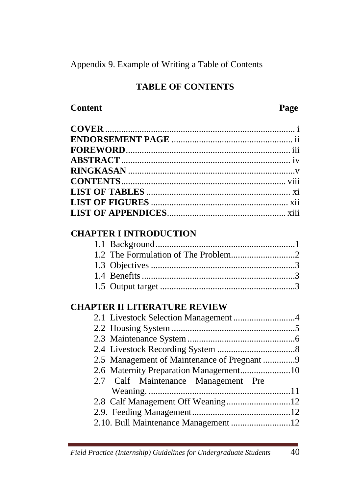Appendix 9. Example of Writing a Table of Contents

### **TABLE OF CONTENTS**

#### **Content Page**

### **CHAPTER I INTRODUCTION**

# **CHAPTER II LITERATURE REVIEW**

| 2.6 Maternity Preparation Management10 |  |
|----------------------------------------|--|
| 2.7 Calf Maintenance Management Pre    |  |
|                                        |  |
|                                        |  |
|                                        |  |
| 2.10. Bull Maintenance Management 12   |  |
|                                        |  |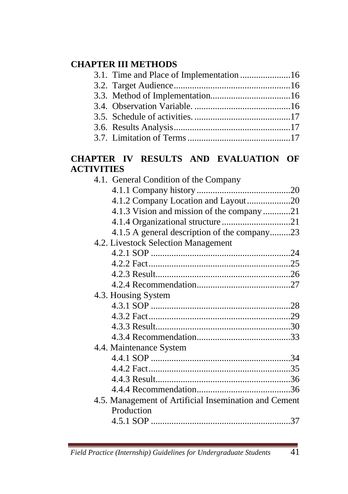#### **CHAPTER III METHODS**

| 3.3.              |                                                       |    |
|-------------------|-------------------------------------------------------|----|
|                   |                                                       |    |
|                   |                                                       |    |
|                   |                                                       |    |
|                   |                                                       |    |
|                   |                                                       |    |
| <b>CHAPTER IV</b> | RESULTS AND EVALUATION                                | OF |
| <b>ACTIVITIES</b> |                                                       |    |
|                   | 4.1. General Condition of the Company                 |    |
|                   |                                                       |    |
|                   | 4.1.2 Company Location and Layout20                   |    |
|                   | 4.1.3 Vision and mission of the company 21            |    |
|                   |                                                       |    |
|                   | 4.1.5 A general description of the company23          |    |
|                   | 4.2. Livestock Selection Management                   |    |
|                   |                                                       |    |
|                   |                                                       |    |
|                   |                                                       |    |
|                   |                                                       |    |
|                   | 4.3. Housing System                                   |    |
|                   |                                                       |    |
|                   |                                                       |    |
|                   |                                                       |    |
|                   |                                                       |    |
|                   | 4.4. Maintenance System                               |    |
|                   |                                                       |    |
|                   |                                                       |    |
|                   |                                                       |    |
|                   |                                                       |    |
|                   | 4.5. Management of Artificial Insemination and Cement |    |
|                   | Production                                            |    |
|                   |                                                       |    |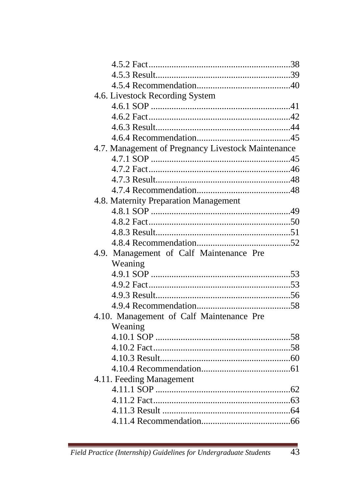| 4.6. Livestock Recording System                    |  |
|----------------------------------------------------|--|
|                                                    |  |
|                                                    |  |
|                                                    |  |
|                                                    |  |
| 4.7. Management of Pregnancy Livestock Maintenance |  |
|                                                    |  |
|                                                    |  |
|                                                    |  |
|                                                    |  |
| 4.8. Maternity Preparation Management              |  |
|                                                    |  |
|                                                    |  |
|                                                    |  |
|                                                    |  |
| 4.9. Management of Calf Maintenance Pre            |  |
| Weaning                                            |  |
|                                                    |  |
|                                                    |  |
|                                                    |  |
|                                                    |  |
| 4.10. Management of Calf Maintenance Pre           |  |
| Weaning                                            |  |
|                                                    |  |
|                                                    |  |
|                                                    |  |
|                                                    |  |
| 4.11. Feeding Management                           |  |
|                                                    |  |
|                                                    |  |
|                                                    |  |
|                                                    |  |
|                                                    |  |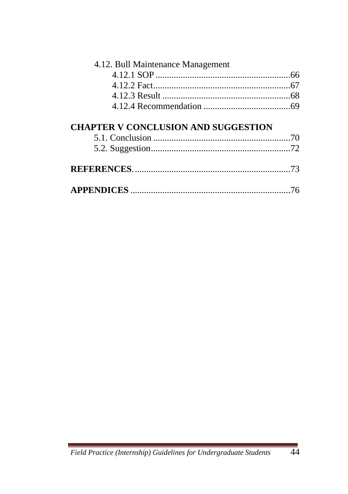| 4.12. Bull Maintenance Management          |  |
|--------------------------------------------|--|
|                                            |  |
|                                            |  |
|                                            |  |
|                                            |  |
| <b>CHAPTER V CONCLUSION AND SUGGESTION</b> |  |
|                                            |  |
|                                            |  |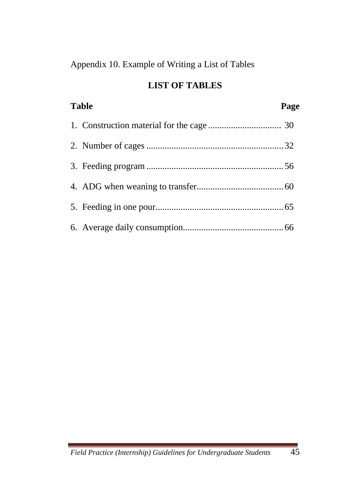Appendix 10. Example of Writing a List of Tables

#### **LIST OF TABLES**

| <b>Table</b> | Page |
|--------------|------|
|              |      |
|              |      |
|              |      |
|              |      |
|              |      |
|              |      |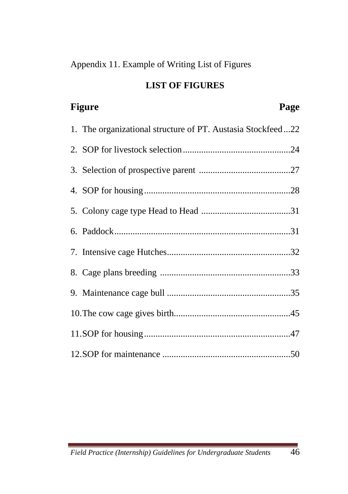#### Appendix 11. Example of Writing List of Figures

#### **LIST OF FIGURES**

# **Figure Page**

| 1. The organizational structure of PT. Austasia Stockfeed22 |  |
|-------------------------------------------------------------|--|
|                                                             |  |
|                                                             |  |
|                                                             |  |
|                                                             |  |
|                                                             |  |
|                                                             |  |
|                                                             |  |
|                                                             |  |
|                                                             |  |
|                                                             |  |
|                                                             |  |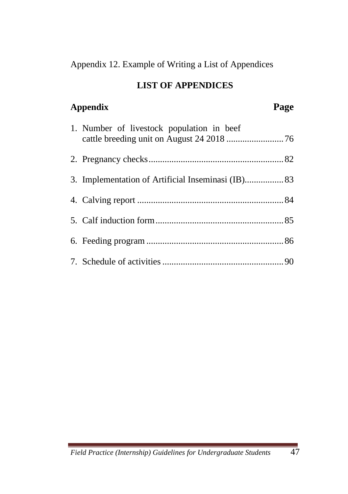Appendix 12. Example of Writing a List of Appendices

#### **LIST OF APPENDICES**

#### **Appendix Page**

| 1. Number of livestock population in beef          |  |
|----------------------------------------------------|--|
|                                                    |  |
| 3. Implementation of Artificial Inseminasi (IB) 83 |  |
|                                                    |  |
|                                                    |  |
|                                                    |  |
|                                                    |  |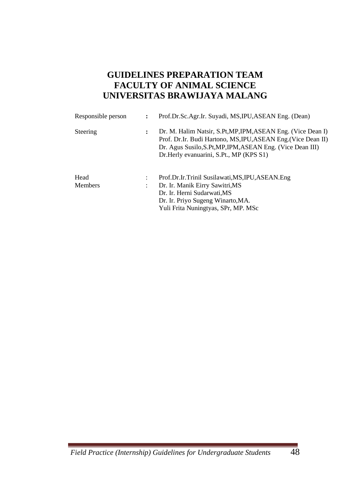#### **GUIDELINES PREPARATION TEAM FACULTY OF ANIMAL SCIENCE UNIVERSITAS BRAWIJAYA MALANG**

| Responsible person |                      | Prof.Dr.Sc.Agr.Ir. Suyadi, MS, IPU, ASEAN Eng. (Dean)                                                                                                                                                                                |  |  |
|--------------------|----------------------|--------------------------------------------------------------------------------------------------------------------------------------------------------------------------------------------------------------------------------------|--|--|
| Steering           | $\ddot{\phantom{a}}$ | Dr. M. Halim Natsir, S.Pt,MP,IPM,ASEAN Eng. (Vice Dean I)<br>Prof. Dr.Ir. Budi Hartono, MS, IPU, ASEAN Eng. (Vice Dean II)<br>Dr. Agus Susilo, S.Pt, MP, IPM, ASEAN Eng. (Vice Dean III)<br>Dr. Herly evanuarini, S.Pt., MP (KPS S1) |  |  |
| Head               | ÷                    | Prof.Dr.Ir.Trinil Susilawati, MS, IPU, ASEAN.Eng                                                                                                                                                                                     |  |  |
| Members            | ÷                    | Dr. Ir. Manik Eirry Sawitri, MS                                                                                                                                                                                                      |  |  |
|                    |                      | Dr. Ir. Herni Sudarwati, MS                                                                                                                                                                                                          |  |  |
|                    |                      | Dr. Ir. Priyo Sugeng Winarto, MA.                                                                                                                                                                                                    |  |  |
|                    |                      | Yuli Frita Nuningtyas, SPr, MP. MSc                                                                                                                                                                                                  |  |  |